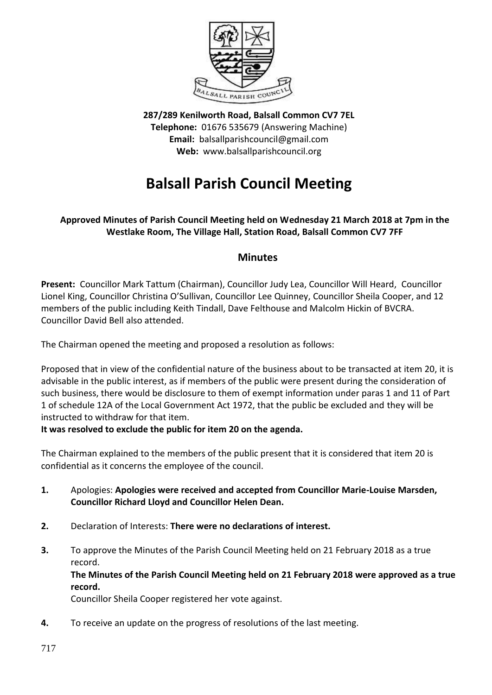

**287/289 Kenilworth Road, Balsall Common CV7 7EL Telephone:** 01676 535679 (Answering Machine) **Email:** balsallparishcouncil@gmail.com **Web:** www.balsallparishcouncil.org

# **Balsall Parish Council Meeting**

# **Approved Minutes of Parish Council Meeting held on Wednesday 21 March 2018 at 7pm in the Westlake Room, The Village Hall, Station Road, Balsall Common CV7 7FF**

# **Minutes**

**Present:** Councillor Mark Tattum (Chairman), Councillor Judy Lea, Councillor Will Heard, Councillor Lionel King, Councillor Christina O'Sullivan, Councillor Lee Quinney, Councillor Sheila Cooper, and 12 members of the public including Keith Tindall, Dave Felthouse and Malcolm Hickin of BVCRA. Councillor David Bell also attended.

The Chairman opened the meeting and proposed a resolution as follows:

Proposed that in view of the confidential nature of the business about to be transacted at item 20, it is advisable in the public interest, as if members of the public were present during the consideration of such business, there would be disclosure to them of exempt information under paras 1 and 11 of Part 1 of schedule 12A of the Local Government Act 1972, that the public be excluded and they will be instructed to withdraw for that item.

**It was resolved to exclude the public for item 20 on the agenda.**

The Chairman explained to the members of the public present that it is considered that item 20 is confidential as it concerns the employee of the council.

- **1.** Apologies: **Apologies were received and accepted from Councillor Marie-Louise Marsden, Councillor Richard Lloyd and Councillor Helen Dean.**
- **2.** Declaration of Interests: **There were no declarations of interest.**
- **3.** To approve the Minutes of the Parish Council Meeting held on 21 February 2018 as a true record. **The Minutes of the Parish Council Meeting held on 21 February 2018 were approved as a true record.**

Councillor Sheila Cooper registered her vote against.

**4.** To receive an update on the progress of resolutions of the last meeting.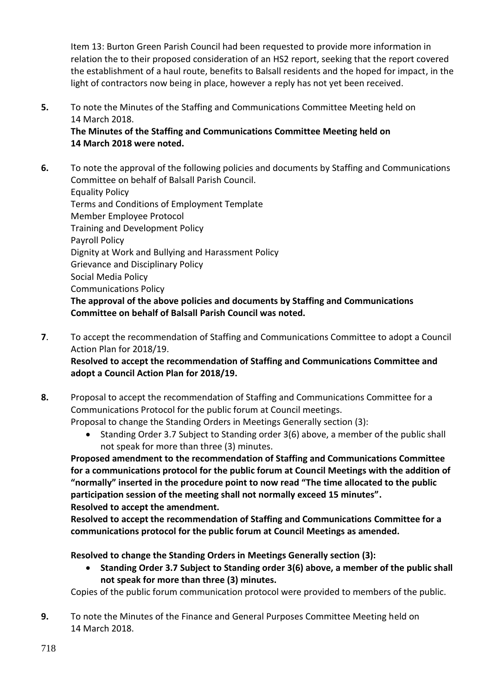Item 13: Burton Green Parish Council had been requested to provide more information in relation the to their proposed consideration of an HS2 report, seeking that the report covered the establishment of a haul route, benefits to Balsall residents and the hoped for impact, in the light of contractors now being in place, however a reply has not yet been received.

**5.** To note the Minutes of the Staffing and Communications Committee Meeting held on 14 March 2018.

**The Minutes of the Staffing and Communications Committee Meeting held on 14 March 2018 were noted.**

- **6.** To note the approval of the following policies and documents by Staffing and Communications Committee on behalf of Balsall Parish Council. Equality Policy Terms and Conditions of Employment Template Member Employee Protocol Training and Development Policy Payroll Policy Dignity at Work and Bullying and Harassment Policy Grievance and Disciplinary Policy Social Media Policy Communications Policy **The approval of the above policies and documents by Staffing and Communications Committee on behalf of Balsall Parish Council was noted.**
- **7**. To accept the recommendation of Staffing and Communications Committee to adopt a Council Action Plan for 2018/19.

**Resolved to accept the recommendation of Staffing and Communications Committee and adopt a Council Action Plan for 2018/19.**

- **8.** Proposal to accept the recommendation of Staffing and Communications Committee for a Communications Protocol for the public forum at Council meetings. Proposal to change the Standing Orders in Meetings Generally section (3):
	- Standing Order 3.7 Subject to Standing order 3(6) above, a member of the public shall not speak for more than three (3) minutes.

**Proposed amendment to the recommendation of Staffing and Communications Committee for a communications protocol for the public forum at Council Meetings with the addition of "normally" inserted in the procedure point to now read "The time allocated to the public participation session of the meeting shall not normally exceed 15 minutes". Resolved to accept the amendment.**

**Resolved to accept the recommendation of Staffing and Communications Committee for a communications protocol for the public forum at Council Meetings as amended.**

**Resolved to change the Standing Orders in Meetings Generally section (3):**

 **Standing Order 3.7 Subject to Standing order 3(6) above, a member of the public shall not speak for more than three (3) minutes.**

Copies of the public forum communication protocol were provided to members of the public.

**9.** To note the Minutes of the Finance and General Purposes Committee Meeting held on 14 March 2018.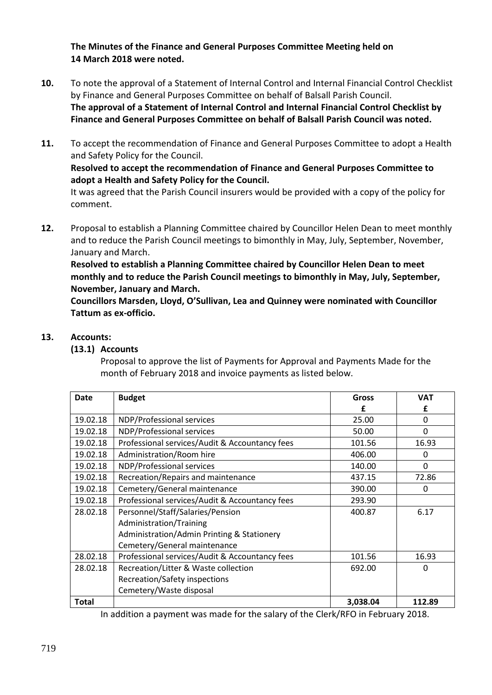**The Minutes of the Finance and General Purposes Committee Meeting held on 14 March 2018 were noted.**

- **10.** To note the approval of a Statement of Internal Control and Internal Financial Control Checklist by Finance and General Purposes Committee on behalf of Balsall Parish Council. **The approval of a Statement of Internal Control and Internal Financial Control Checklist by Finance and General Purposes Committee on behalf of Balsall Parish Council was noted.**
- **11.** To accept the recommendation of Finance and General Purposes Committee to adopt a Health and Safety Policy for the Council. **Resolved to accept the recommendation of Finance and General Purposes Committee to adopt a Health and Safety Policy for the Council.** It was agreed that the Parish Council insurers would be provided with a copy of the policy for comment.
- **12.** Proposal to establish a Planning Committee chaired by Councillor Helen Dean to meet monthly and to reduce the Parish Council meetings to bimonthly in May, July, September, November, January and March.

**Resolved to establish a Planning Committee chaired by Councillor Helen Dean to meet monthly and to reduce the Parish Council meetings to bimonthly in May, July, September, November, January and March.**

**Councillors Marsden, Lloyd, O'Sullivan, Lea and Quinney were nominated with Councillor Tattum as ex-officio.**

### **13. Accounts:**

### **(13.1) Accounts**

Proposal to approve the list of Payments for Approval and Payments Made for the month of February 2018 and invoice payments as listed below.

| Date     | <b>Budget</b>                                  | <b>Gross</b> | <b>VAT</b>   |
|----------|------------------------------------------------|--------------|--------------|
|          |                                                | f            | f            |
| 19.02.18 | NDP/Professional services                      | 25.00        | 0            |
| 19.02.18 | NDP/Professional services                      | 50.00        | $\Omega$     |
| 19.02.18 | Professional services/Audit & Accountancy fees | 101.56       | 16.93        |
| 19.02.18 | Administration/Room hire                       | 406.00       | 0            |
| 19.02.18 | NDP/Professional services                      | 140.00       | $\Omega$     |
| 19.02.18 | Recreation/Repairs and maintenance             | 437.15       | 72.86        |
| 19.02.18 | Cemetery/General maintenance                   | 390.00       | 0            |
| 19.02.18 | Professional services/Audit & Accountancy fees | 293.90       |              |
| 28.02.18 | Personnel/Staff/Salaries/Pension               | 400.87       | 6.17         |
|          | Administration/Training                        |              |              |
|          | Administration/Admin Printing & Stationery     |              |              |
|          | Cemetery/General maintenance                   |              |              |
| 28.02.18 | Professional services/Audit & Accountancy fees | 101.56       | 16.93        |
| 28.02.18 | Recreation/Litter & Waste collection           | 692.00       | <sup>0</sup> |
|          | Recreation/Safety inspections                  |              |              |
|          | Cemetery/Waste disposal                        |              |              |
| Total    |                                                | 3,038.04     | 112.89       |

In addition a payment was made for the salary of the Clerk/RFO in February 2018.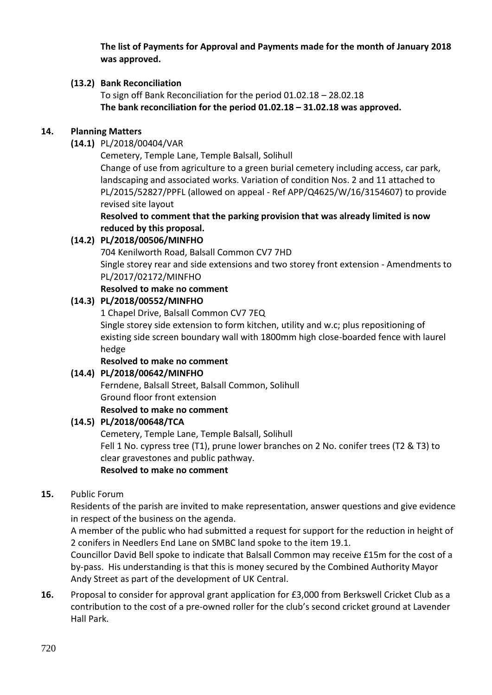**The list of Payments for Approval and Payments made for the month of January 2018 was approved.**

# **(13.2) Bank Reconciliation**

To sign off Bank Reconciliation for the period 01.02.18 – 28.02.18 **The bank reconciliation for the period 01.02.18 – 31.02.18 was approved.**

# **14. Planning Matters**

**(14.1)** PL/2018/00404/VAR

Cemetery, Temple Lane, Temple Balsall, Solihull [Change of use from agriculture to a green burial cemetery including access, car park,](https://publicaccess.solihull.gov.uk/online-applications/applicationDetails.do?keyVal=P3QEY3OEGY800&activeTab=summary)  [landscaping and associated works. Variation of condition Nos. 2 and 11 attached to](https://publicaccess.solihull.gov.uk/online-applications/applicationDetails.do?keyVal=P3QEY3OEGY800&activeTab=summary)  PL/2015/52827/PPFL (allowed on appeal - [Ref APP/Q4625/W/16/3154607\) to provide](https://publicaccess.solihull.gov.uk/online-applications/applicationDetails.do?keyVal=P3QEY3OEGY800&activeTab=summary)  [revised site layout](https://publicaccess.solihull.gov.uk/online-applications/applicationDetails.do?keyVal=P3QEY3OEGY800&activeTab=summary)

**Resolved to comment that the parking provision that was already limited is now reduced by this proposal.**

# **(14.2) PL/2018/00506/MINFHO**

704 Kenilworth Road, Balsall Common CV7 7HD [Single storey rear and side extensions and two storey front extension -](https://publicaccess.solihull.gov.uk/online-applications/applicationDetails.do?keyVal=P48MG4OE04M00&activeTab=summary) Amendments to [PL/2017/02172/MINFHO](https://publicaccess.solihull.gov.uk/online-applications/applicationDetails.do?keyVal=P48MG4OE04M00&activeTab=summary)

# **Resolved to make no comment**

# **(14.3) PL/2018/00552/MINFHO**

1 Chapel Drive, Balsall Common CV7 7EQ

[Single storey side extension to form kitchen, utility and w.c; plus repositioning of](https://publicaccess.solihull.gov.uk/online-applications/applicationDetails.do?keyVal=P4HWKUOE01G00&activeTab=summary)  [existing side screen boundary wall with 1800mm high close-boarded fence with laurel](https://publicaccess.solihull.gov.uk/online-applications/applicationDetails.do?keyVal=P4HWKUOE01G00&activeTab=summary)  [hedge](https://publicaccess.solihull.gov.uk/online-applications/applicationDetails.do?keyVal=P4HWKUOE01G00&activeTab=summary)

### **Resolved to make no comment**

### **(14.4) PL/2018/00642/MINFHO**

Ferndene, Balsall Street, Balsall Common, Solihull Ground floor front extension **Resolved to make no comment**

### **(14.5) PL/2018/00648/TCA**

Cemetery, Temple Lane, Temple Balsall, Solihull [Fell 1 No. cypress tree \(T1\), prune lower branches on 2 No. conifer trees \(T2 & T3\) to](https://publicaccess.solihull.gov.uk/online-applications/applicationDetails.do?keyVal=P4X25JOE01100&activeTab=summary)  [clear gravestones and public pathway.](https://publicaccess.solihull.gov.uk/online-applications/applicationDetails.do?keyVal=P4X25JOE01100&activeTab=summary)

### **Resolved to make no comment**

# **15.** Public Forum

Residents of the parish are invited to make representation, answer questions and give evidence in respect of the business on the agenda.

A member of the public who had submitted a request for support for the reduction in height of 2 conifers in Needlers End Lane on SMBC land spoke to the item 19.1.

Councillor David Bell spoke to indicate that Balsall Common may receive £15m for the cost of a by-pass. His understanding is that this is money secured by the Combined Authority Mayor Andy Street as part of the development of UK Central.

**16.** Proposal to consider for approval grant application for £3,000 from Berkswell Cricket Club as a contribution to the cost of a pre-owned roller for the club's second cricket ground at Lavender Hall Park.